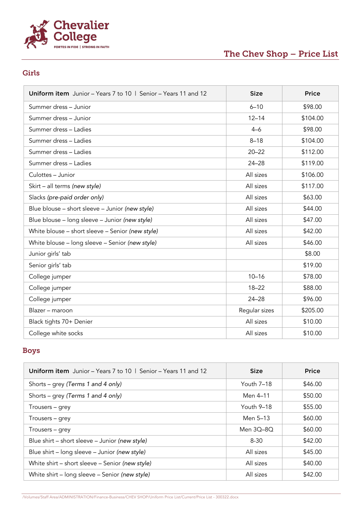

# The Chev Shop – Price List

#### Girls

| Uniform item Junior - Years 7 to 10   Senior - Years 11 and 12 | <b>Size</b>   | <b>Price</b> |
|----------------------------------------------------------------|---------------|--------------|
| Summer dress - Junior                                          | $6 - 10$      | \$98.00      |
| Summer dress - Junior                                          | $12 - 14$     | \$104.00     |
| Summer dress - Ladies                                          | $4 - 6$       | \$98.00      |
| Summer dress - Ladies                                          | $8 - 18$      | \$104.00     |
| Summer dress - Ladies                                          | $20 - 22$     | \$112.00     |
| Summer dress - Ladies                                          | $24 - 28$     | \$119.00     |
| Culottes - Junior                                              | All sizes     | \$106.00     |
| Skirt - all terms (new style)                                  | All sizes     | \$117.00     |
| Slacks (pre-paid order only)                                   | All sizes     | \$63.00      |
| Blue blouse - short sleeve - Junior (new style)                | All sizes     | \$44.00      |
| Blue blouse - long sleeve - Junior (new style)                 | All sizes     | \$47.00      |
| White blouse - short sleeve - Senior (new style)               | All sizes     | \$42.00      |
| White blouse - long sleeve - Senior (new style)                | All sizes     | \$46.00      |
| Junior girls' tab                                              |               | \$8.00       |
| Senior girls' tab                                              |               | \$19.00      |
| College jumper                                                 | $10 - 16$     | \$78.00      |
| College jumper                                                 | $18 - 22$     | \$88.00      |
| College jumper                                                 | $24 - 28$     | \$96.00      |
| Blazer - maroon                                                | Regular sizes | \$205.00     |
| Black tights 70+ Denier                                        | All sizes     | \$10.00      |
| College white socks                                            | All sizes     | \$10.00      |

#### Boys

| <b>Uniform item</b> Junior – Years 7 to 10   Senior – Years 11 and 12 | <b>Size</b> | <b>Price</b> |
|-----------------------------------------------------------------------|-------------|--------------|
| Shorts – grey (Terms 1 and 4 only)                                    | Youth 7-18  | \$46.00      |
| Shorts – grey (Terms 1 and 4 only)                                    | Men 4-11    | \$50.00      |
| Trousers – grey                                                       | Youth 9-18  | \$55.00      |
| Trousers – grey                                                       | Men 5–13    | \$60.00      |
| Trousers - grey                                                       | Men 30–80   | \$60.00      |
| Blue shirt – short sleeve – Junior (new style)                        | $8 - 30$    | \$42.00      |
| Blue shirt – long sleeve – Junior (new style)                         | All sizes   | \$45.00      |
| White shirt - short sleeve - Senior (new style)                       | All sizes   | \$40.00      |
| White shirt - long sleeve - Senior (new style)                        | All sizes   | \$42.00      |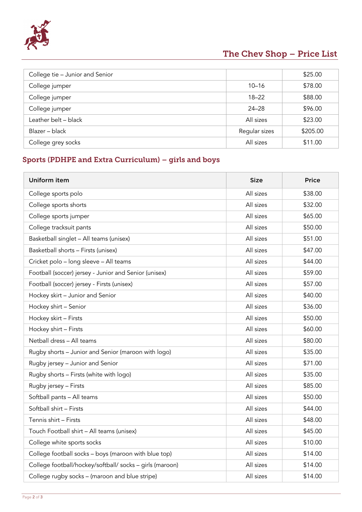

# The Chev Shop – Price List

| College tie - Junior and Senior |               | \$25.00  |
|---------------------------------|---------------|----------|
| College jumper                  | $10 - 16$     | \$78.00  |
| College jumper                  | $18 - 22$     | \$88.00  |
| College jumper                  | $24 - 28$     | \$96.00  |
| Leather belt - black            | All sizes     | \$23.00  |
| Blazer - black                  | Regular sizes | \$205.00 |
| College grey socks              | All sizes     | \$11.00  |

### Sports (PDHPE and Extra Curriculum) – girls and boys

| Uniform item                                             | <b>Size</b> | <b>Price</b> |
|----------------------------------------------------------|-------------|--------------|
| College sports polo                                      | All sizes   | \$38.00      |
| College sports shorts                                    | All sizes   | \$32.00      |
| College sports jumper                                    | All sizes   | \$65.00      |
| College tracksuit pants                                  | All sizes   | \$50.00      |
| Basketball singlet - All teams (unisex)                  | All sizes   | \$51.00      |
| Basketball shorts - Firsts (unisex)                      | All sizes   | \$47.00      |
| Cricket polo - long sleeve - All teams                   | All sizes   | \$44.00      |
| Football (soccer) jersey - Junior and Senior (unisex)    | All sizes   | \$59.00      |
| Football (soccer) jersey - Firsts (unisex)               | All sizes   | \$57.00      |
| Hockey skirt - Junior and Senior                         | All sizes   | \$40.00      |
| Hockey shirt - Senior                                    | All sizes   | \$36.00      |
| Hockey skirt - Firsts                                    | All sizes   | \$50.00      |
| Hockey shirt - Firsts                                    | All sizes   | \$60.00      |
| Netball dress - All teams                                | All sizes   | \$80.00      |
| Rugby shorts - Junior and Senior (maroon with logo)      | All sizes   | \$35.00      |
| Rugby jersey - Junior and Senior                         | All sizes   | \$71.00      |
| Rugby shorts - Firsts (white with logo)                  | All sizes   | \$35.00      |
| Rugby jersey - Firsts                                    | All sizes   | \$85.00      |
| Softball pants - All teams                               | All sizes   | \$50.00      |
| Softball shirt - Firsts                                  | All sizes   | \$44.00      |
| Tennis shirt - Firsts                                    | All sizes   | \$48.00      |
| Touch Football shirt - All teams (unisex)                | All sizes   | \$45.00      |
| College white sports socks                               | All sizes   | \$10.00      |
| College football socks - boys (maroon with blue top)     | All sizes   | \$14.00      |
| College football/hockey/softball/ socks - girls (maroon) | All sizes   | \$14.00      |
| College rugby socks - (maroon and blue stripe)           | All sizes   | \$14.00      |